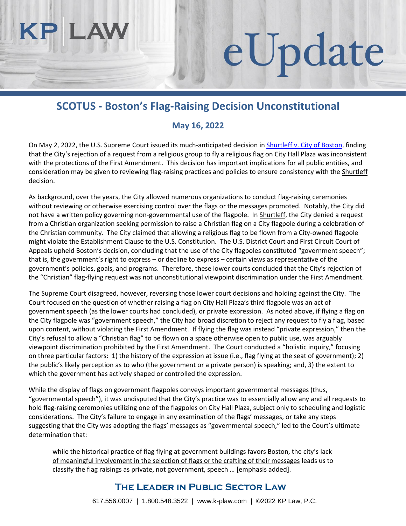## **SCOTUS - Boston's Flag-Raising Decision Unconstitutional**

eUpdate

## **May 16, 2022**

On May 2, 2022, the U.S. Supreme Court issued its much-anticipated decision in [Shurtleff v. City of Boston,](https://www.supremecourt.gov/opinions/21pdf/20-1800_7lho.pdf) finding that the City's rejection of a request from a religious group to fly a religious flag on City Hall Plaza was inconsistent with the protections of the First Amendment. This decision has important implications for all public entities, and consideration may be given to reviewing flag-raising practices and policies to ensure consistency with the **Shurtleff** decision.

As background, over the years, the City allowed numerous organizations to conduct flag-raising ceremonies without reviewing or otherwise exercising control over the flags or the messages promoted. Notably, the City did not have a written policy governing non-governmental use of the flagpole. In Shurtleff, the City denied a request from a Christian organization seeking permission to raise a Christian flag on a City flagpole during a celebration of the Christian community. The City claimed that allowing a religious flag to be flown from a City-owned flagpole might violate the Establishment Clause to the U.S. Constitution. The U.S. District Court and First Circuit Court of Appeals upheld Boston's decision, concluding that the use of the City flagpoles constituted "government speech"; that is, the government's right to express – or decline to express – certain views as representative of the government's policies, goals, and programs. Therefore, these lower courts concluded that the City's rejection of the "Christian" flag-flying request was not unconstitutional viewpoint discrimination under the First Amendment.

The Supreme Court disagreed, however, reversing those lower court decisions and holding against the City. The Court focused on the question of whether raising a flag on City Hall Plaza's third flagpole was an act of government speech (as the lower courts had concluded), or private expression. As noted above, if flying a flag on the City flagpole was "government speech," the City had broad discretion to reject any request to fly a flag, based upon content, without violating the First Amendment. If flying the flag was instead "private expression," then the City's refusal to allow a "Christian flag" to be flown on a space otherwise open to public use, was arguably viewpoint discrimination prohibited by the First Amendment. The Court conducted a "holistic inquiry," focusing on three particular factors: 1) the history of the expression at issue (i.e., flag flying at the seat of government); 2) the public's likely perception as to who (the government or a private person) is speaking; and, 3) the extent to which the government has actively shaped or controlled the expression.

While the display of flags on government flagpoles conveys important governmental messages (thus, "governmental speech"), it was undisputed that the City's practice was to essentially allow any and all requests to hold flag-raising ceremonies utilizing one of the flagpoles on City Hall Plaza, subject only to scheduling and logistic considerations. The City's failure to engage in any examination of the flags' messages, or take any steps suggesting that the City was adopting the flags' messages as "governmental speech," led to the Court's ultimate determination that:

while the historical practice of flag flying at government buildings favors Boston, the city's lack of meaningful involvement in the selection of flags or the crafting of their messages leads us to classify the flag raisings as private, not government, speech ... [emphasis added].

## THE LEADER IN PUBLIC SECTOR LAW